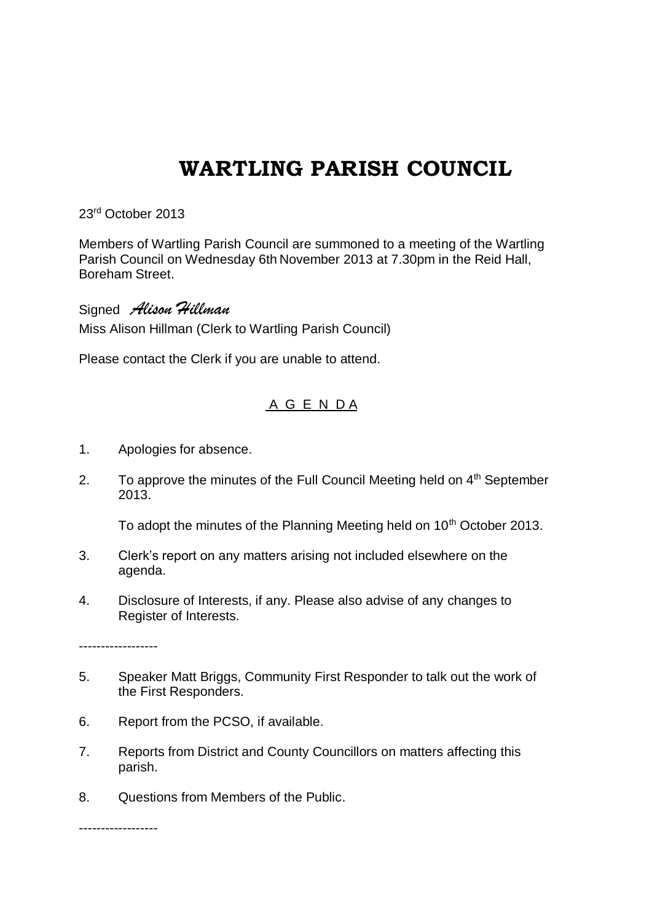## **WARTLING PARISH COUNCIL**

23rd October 2013

Members of Wartling Parish Council are summoned to a meeting of the Wartling Parish Council on Wednesday 6th November 2013 at 7.30pm in the Reid Hall, Boreham Street.

Signed *Alison Hillman* Miss Alison Hillman (Clerk to Wartling Parish Council)

Please contact the Clerk if you are unable to attend.

## A G E N D A

- 1. Apologies for absence.
- 2. To approve the minutes of the Full Council Meeting held on  $4<sup>th</sup>$  September 2013.

To adopt the minutes of the Planning Meeting held on 10<sup>th</sup> October 2013.

- 3. Clerk's report on any matters arising not included elsewhere on the agenda.
- 4. Disclosure of Interests, if any. Please also advise of any changes to Register of Interests.

------------------

- 5. Speaker Matt Briggs, Community First Responder to talk out the work of the First Responders.
- 6. Report from the PCSO, if available.
- 7. Reports from District and County Councillors on matters affecting this parish.
- 8. Questions from Members of the Public.

------------------